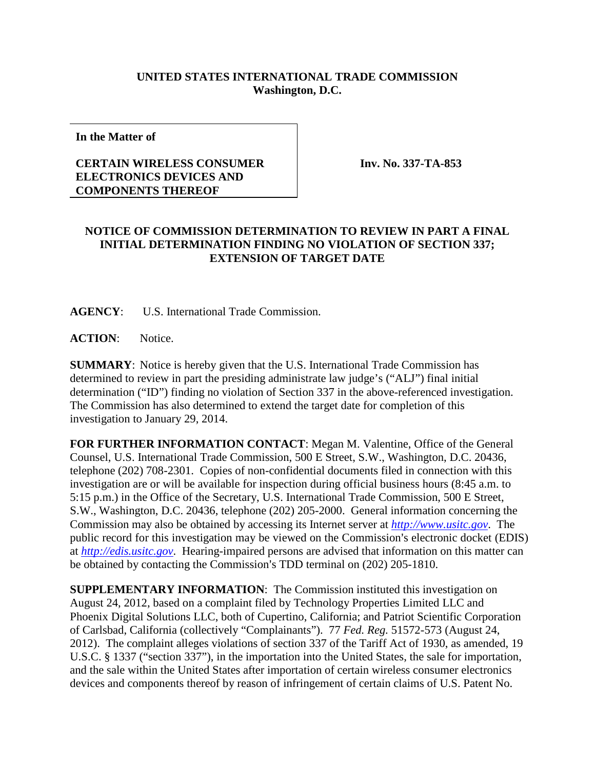## **UNITED STATES INTERNATIONAL TRADE COMMISSION Washington, D.C.**

**In the Matter of**

## **CERTAIN WIRELESS CONSUMER ELECTRONICS DEVICES AND COMPONENTS THEREOF**

**Inv. No. 337-TA-853**

## **NOTICE OF COMMISSION DETERMINATION TO REVIEW IN PART A FINAL INITIAL DETERMINATION FINDING NO VIOLATION OF SECTION 337; EXTENSION OF TARGET DATE**

**AGENCY**: U.S. International Trade Commission.

**ACTION**: Notice.

**SUMMARY**: Notice is hereby given that the U.S. International Trade Commission has determined to review in part the presiding administrate law judge's ("ALJ") final initial determination ("ID") finding no violation of Section 337 in the above-referenced investigation. The Commission has also determined to extend the target date for completion of this investigation to January 29, 2014.

**FOR FURTHER INFORMATION CONTACT**: Megan M. Valentine, Office of the General Counsel, U.S. International Trade Commission, 500 E Street, S.W., Washington, D.C. 20436, telephone (202) 708-2301. Copies of non-confidential documents filed in connection with this investigation are or will be available for inspection during official business hours (8:45 a.m. to 5:15 p.m.) in the Office of the Secretary, U.S. International Trade Commission, 500 E Street, S.W., Washington, D.C. 20436, telephone (202) 205-2000. General information concerning the Commission may also be obtained by accessing its Internet server at *[http://www.usitc.gov](http://www.usitc.gov/)*. The public record for this investigation may be viewed on the Commission's electronic docket (EDIS) at *[http://edis.usitc.gov](http://edis.usitc.gov/)*. Hearing-impaired persons are advised that information on this matter can be obtained by contacting the Commission's TDD terminal on (202) 205-1810.

**SUPPLEMENTARY INFORMATION**: The Commission instituted this investigation on August 24, 2012, based on a complaint filed by Technology Properties Limited LLC and Phoenix Digital Solutions LLC, both of Cupertino, California; and Patriot Scientific Corporation of Carlsbad, California (collectively "Complainants"). 77 *Fed. Reg.* 51572-573 (August 24, 2012). The complaint alleges violations of section 337 of the Tariff Act of 1930, as amended, 19 U.S.C. § 1337 ("section 337"), in the importation into the United States, the sale for importation, and the sale within the United States after importation of certain wireless consumer electronics devices and components thereof by reason of infringement of certain claims of U.S. Patent No.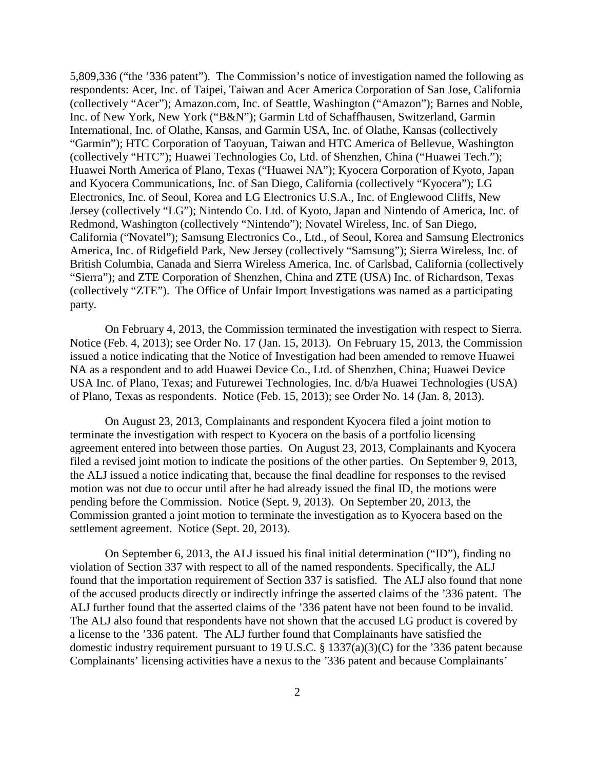5,809,336 ("the '336 patent"). The Commission's notice of investigation named the following as respondents: Acer, Inc. of Taipei, Taiwan and Acer America Corporation of San Jose, California (collectively "Acer"); Amazon.com, Inc. of Seattle, Washington ("Amazon"); Barnes and Noble, Inc. of New York, New York ("B&N"); Garmin Ltd of Schaffhausen, Switzerland, Garmin International, Inc. of Olathe, Kansas, and Garmin USA, Inc. of Olathe, Kansas (collectively "Garmin"); HTC Corporation of Taoyuan, Taiwan and HTC America of Bellevue, Washington (collectively "HTC"); Huawei Technologies Co, Ltd. of Shenzhen, China ("Huawei Tech."); Huawei North America of Plano, Texas ("Huawei NA"); Kyocera Corporation of Kyoto, Japan and Kyocera Communications, Inc. of San Diego, California (collectively "Kyocera"); LG Electronics, Inc. of Seoul, Korea and LG Electronics U.S.A., Inc. of Englewood Cliffs, New Jersey (collectively "LG"); Nintendo Co. Ltd. of Kyoto, Japan and Nintendo of America, Inc. of Redmond, Washington (collectively "Nintendo"); Novatel Wireless, Inc. of San Diego, California ("Novatel"); Samsung Electronics Co., Ltd., of Seoul, Korea and Samsung Electronics America, Inc. of Ridgefield Park, New Jersey (collectively "Samsung"); Sierra Wireless, Inc. of British Columbia, Canada and Sierra Wireless America, Inc. of Carlsbad, California (collectively "Sierra"); and ZTE Corporation of Shenzhen, China and ZTE (USA) Inc. of Richardson, Texas (collectively "ZTE"). The Office of Unfair Import Investigations was named as a participating party.

On February 4, 2013, the Commission terminated the investigation with respect to Sierra. Notice (Feb. 4, 2013); see Order No. 17 (Jan. 15, 2013). On February 15, 2013, the Commission issued a notice indicating that the Notice of Investigation had been amended to remove Huawei NA as a respondent and to add Huawei Device Co., Ltd. of Shenzhen, China; Huawei Device USA Inc. of Plano, Texas; and Futurewei Technologies, Inc. d/b/a Huawei Technologies (USA) of Plano, Texas as respondents. Notice (Feb. 15, 2013); see Order No. 14 (Jan. 8, 2013).

On August 23, 2013, Complainants and respondent Kyocera filed a joint motion to terminate the investigation with respect to Kyocera on the basis of a portfolio licensing agreement entered into between those parties. On August 23, 2013, Complainants and Kyocera filed a revised joint motion to indicate the positions of the other parties. On September 9, 2013, the ALJ issued a notice indicating that, because the final deadline for responses to the revised motion was not due to occur until after he had already issued the final ID, the motions were pending before the Commission. Notice (Sept. 9, 2013). On September 20, 2013, the Commission granted a joint motion to terminate the investigation as to Kyocera based on the settlement agreement. Notice (Sept. 20, 2013).

On September 6, 2013, the ALJ issued his final initial determination ("ID"), finding no violation of Section 337 with respect to all of the named respondents. Specifically, the ALJ found that the importation requirement of Section 337 is satisfied. The ALJ also found that none of the accused products directly or indirectly infringe the asserted claims of the '336 patent. The ALJ further found that the asserted claims of the '336 patent have not been found to be invalid. The ALJ also found that respondents have not shown that the accused LG product is covered by a license to the '336 patent. The ALJ further found that Complainants have satisfied the domestic industry requirement pursuant to 19 U.S.C. § 1337(a)(3)(C) for the '336 patent because Complainants' licensing activities have a nexus to the '336 patent and because Complainants'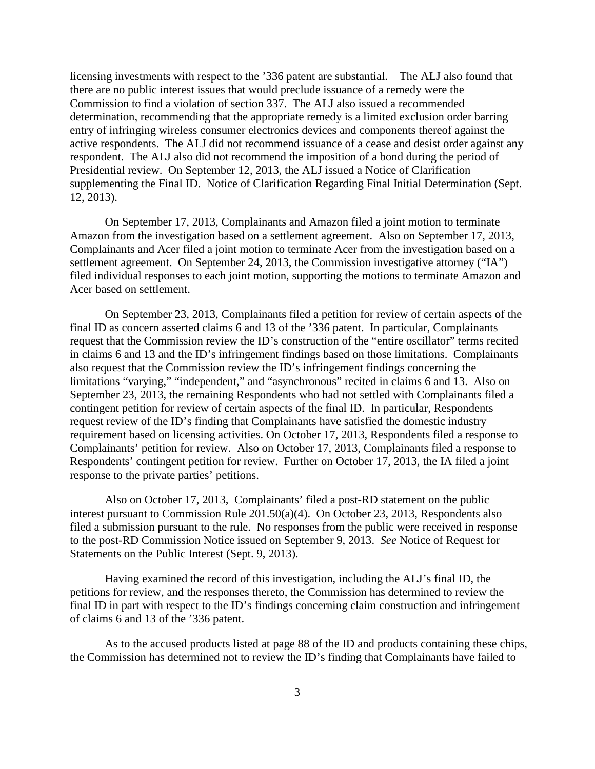licensing investments with respect to the '336 patent are substantial. The ALJ also found that there are no public interest issues that would preclude issuance of a remedy were the Commission to find a violation of section 337.The ALJ also issued a recommended determination, recommending that the appropriate remedy is a limited exclusion order barring entry of infringing wireless consumer electronics devices and components thereof against the active respondents. The ALJ did not recommend issuance of a cease and desist order against any respondent. The ALJ also did not recommend the imposition of a bond during the period of Presidential review. On September 12, 2013, the ALJ issued a Notice of Clarification supplementing the Final ID. Notice of Clarification Regarding Final Initial Determination (Sept. 12, 2013).

On September 17, 2013, Complainants and Amazon filed a joint motion to terminate Amazon from the investigation based on a settlement agreement. Also on September 17, 2013, Complainants and Acer filed a joint motion to terminate Acer from the investigation based on a settlement agreement. On September 24, 2013, the Commission investigative attorney ("IA") filed individual responses to each joint motion, supporting the motions to terminate Amazon and Acer based on settlement.

On September 23, 2013, Complainants filed a petition for review of certain aspects of the final ID as concern asserted claims 6 and 13 of the '336 patent. In particular, Complainants request that the Commission review the ID's construction of the "entire oscillator" terms recited in claims 6 and 13 and the ID's infringement findings based on those limitations. Complainants also request that the Commission review the ID's infringement findings concerning the limitations "varying," "independent," and "asynchronous" recited in claims 6 and 13.Also on September 23, 2013, the remaining Respondents who had not settled with Complainants filed a contingent petition for review of certain aspects of the final ID.In particular, Respondents request review of the ID's finding that Complainants have satisfied the domestic industry requirement based on licensing activities. On October 17, 2013, Respondents filed a response to Complainants' petition for review. Also on October 17, 2013, Complainants filed a response to Respondents' contingent petition for review. Further on October 17, 2013, the IA filed a joint response to the private parties' petitions.

Also on October 17, 2013, Complainants' filed a post-RD statement on the public interest pursuant to Commission Rule 201.50(a)(4). On October 23, 2013, Respondents also filed a submission pursuant to the rule.No responses from the public were received in response to the post-RD Commission Notice issued on September 9, 2013. *See* Notice of Request for Statements on the Public Interest (Sept. 9, 2013).

Having examined the record of this investigation, including the ALJ's final ID, the petitions for review, and the responses thereto, the Commission has determined to review the final ID in part with respect to the ID's findings concerning claim construction and infringement of claims 6 and 13 of the '336 patent.

As to the accused products listed at page 88 of the ID and products containing these chips, the Commission has determined not to review the ID's finding that Complainants have failed to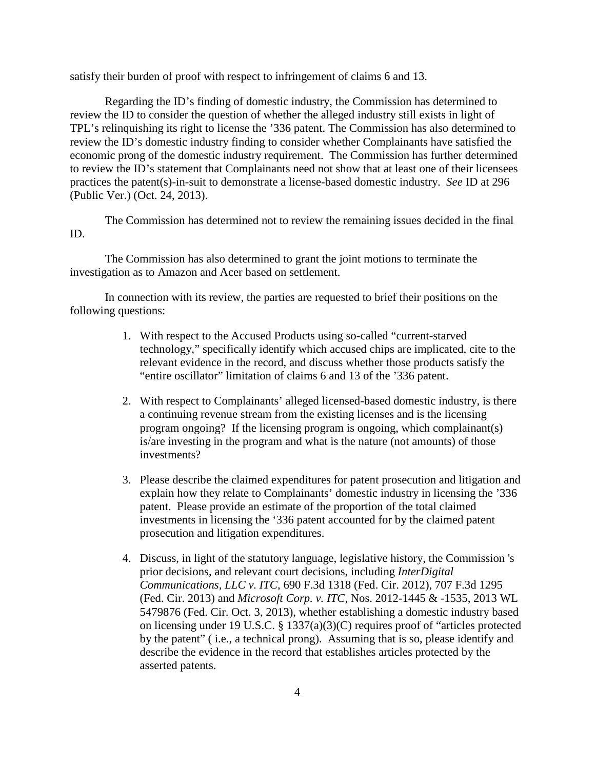satisfy their burden of proof with respect to infringement of claims 6 and 13.

Regarding the ID's finding of domestic industry, the Commission has determined to review the ID to consider the question of whether the alleged industry still exists in light of TPL's relinquishing its right to license the '336 patent. The Commission has also determined to review the ID's domestic industry finding to consider whether Complainants have satisfied the economic prong of the domestic industry requirement. The Commission has further determined to review the ID's statement that Complainants need not show that at least one of their licensees practices the patent(s)-in-suit to demonstrate a license-based domestic industry. *See* ID at 296 (Public Ver.) (Oct. 24, 2013).

The Commission has determined not to review the remaining issues decided in the final ID.

The Commission has also determined to grant the joint motions to terminate the investigation as to Amazon and Acer based on settlement.

In connection with its review, the parties are requested to brief their positions on the following questions:

- 1. With respect to the Accused Products using so-called "current-starved technology," specifically identify which accused chips are implicated, cite to the relevant evidence in the record, and discuss whether those products satisfy the "entire oscillator" limitation of claims 6 and 13 of the '336 patent.
- 2. With respect to Complainants' alleged licensed-based domestic industry, is there a continuing revenue stream from the existing licenses and is the licensing program ongoing? If the licensing program is ongoing, which complainant(s) is/are investing in the program and what is the nature (not amounts) of those investments?
- 3. Please describe the claimed expenditures for patent prosecution and litigation and explain how they relate to Complainants' domestic industry in licensing the '336 patent. Please provide an estimate of the proportion of the total claimed investments in licensing the '336 patent accounted for by the claimed patent prosecution and litigation expenditures.
- 4. Discuss, in light of the statutory language, legislative history, the Commission 's prior decisions, and relevant court decisions, including *InterDigital Communications, LLC v. ITC*, 690 F.3d 1318 (Fed. Cir. 2012), 707 F.3d 1295 (Fed. Cir. 2013) and *Microsoft Corp. v. ITC*, Nos. 2012-1445 & -1535, 2013 WL 5479876 (Fed. Cir. Oct. 3, 2013), whether establishing a domestic industry based on licensing under 19 U.S.C. § 1337(a)(3)(C) requires proof of "articles protected by the patent" ( i.e., a technical prong). Assuming that is so, please identify and describe the evidence in the record that establishes articles protected by the asserted patents.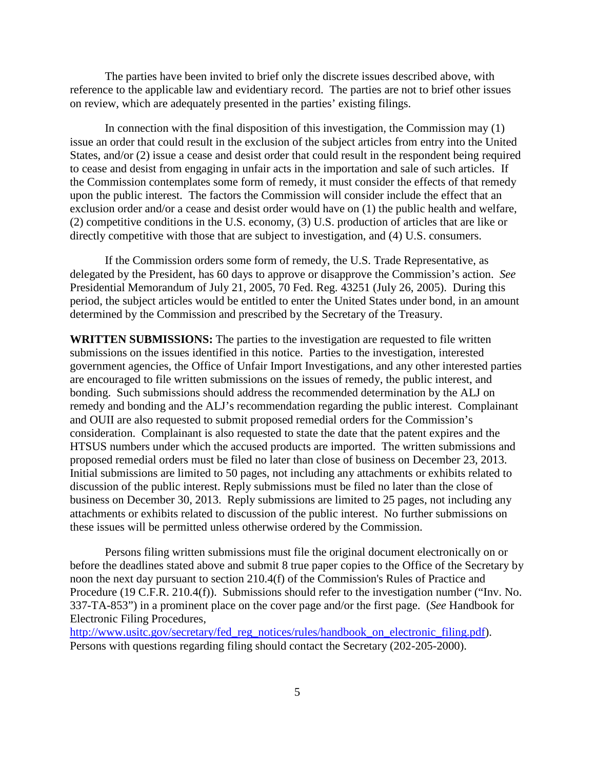The parties have been invited to brief only the discrete issues described above, with reference to the applicable law and evidentiary record. The parties are not to brief other issues on review, which are adequately presented in the parties' existing filings.

In connection with the final disposition of this investigation, the Commission may (1) issue an order that could result in the exclusion of the subject articles from entry into the United States, and/or (2) issue a cease and desist order that could result in the respondent being required to cease and desist from engaging in unfair acts in the importation and sale of such articles. If the Commission contemplates some form of remedy, it must consider the effects of that remedy upon the public interest. The factors the Commission will consider include the effect that an exclusion order and/or a cease and desist order would have on (1) the public health and welfare, (2) competitive conditions in the U.S. economy, (3) U.S. production of articles that are like or directly competitive with those that are subject to investigation, and (4) U.S. consumers.

If the Commission orders some form of remedy, the U.S. Trade Representative, as delegated by the President, has 60 days to approve or disapprove the Commission's action. *See* Presidential Memorandum of July 21, 2005, 70 Fed. Reg. 43251 (July 26, 2005). During this period, the subject articles would be entitled to enter the United States under bond, in an amount determined by the Commission and prescribed by the Secretary of the Treasury.

**WRITTEN SUBMISSIONS:** The parties to the investigation are requested to file written submissions on the issues identified in this notice. Parties to the investigation, interested government agencies, the Office of Unfair Import Investigations, and any other interested parties are encouraged to file written submissions on the issues of remedy, the public interest, and bonding. Such submissions should address the recommended determination by the ALJ on remedy and bonding and the ALJ's recommendation regarding the public interest. Complainant and OUII are also requested to submit proposed remedial orders for the Commission's consideration. Complainant is also requested to state the date that the patent expires and the HTSUS numbers under which the accused products are imported. The written submissions and proposed remedial orders must be filed no later than close of business on December 23, 2013. Initial submissions are limited to 50 pages, not including any attachments or exhibits related to discussion of the public interest. Reply submissions must be filed no later than the close of business on December 30, 2013. Reply submissions are limited to 25 pages, not including any attachments or exhibits related to discussion of the public interest. No further submissions on these issues will be permitted unless otherwise ordered by the Commission.

Persons filing written submissions must file the original document electronically on or before the deadlines stated above and submit 8 true paper copies to the Office of the Secretary by noon the next day pursuant to section 210.4(f) of the Commission's Rules of Practice and Procedure (19 C.F.R. 210.4(f)). Submissions should refer to the investigation number ("Inv. No. 337-TA-853") in a prominent place on the cover page and/or the first page. (*See* Handbook for Electronic Filing Procedures,

[http://www.usitc.gov/secretary/fed\\_reg\\_notices/rules/handbook\\_on\\_electronic\\_filing.pdf\)](http://www.usitc.gov/secretary/fed_reg_notices/rules/handbook_on_electronic_filing.pdf). Persons with questions regarding filing should contact the Secretary (202-205-2000).